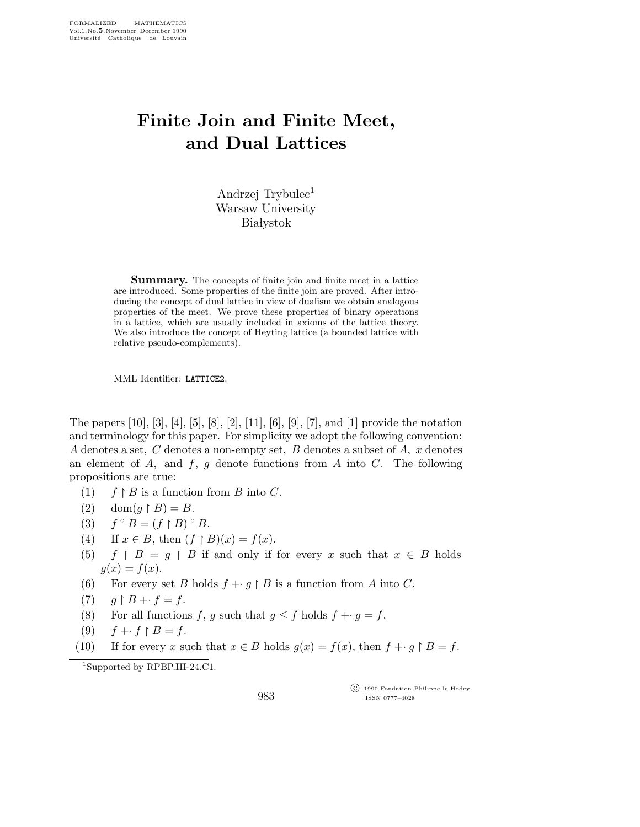## Finite Join and Finite Meet, and Dual Lattices

Andrzej Trybulec<sup>1</sup> Warsaw University **Białystok** 

Summary. The concepts of finite join and finite meet in a lattice are introduced. Some properties of the finite join are proved. After introducing the concept of dual lattice in view of dualism we obtain analogous properties of the meet. We prove these properties of binary operations in a lattice, which are usually included in axioms of the lattice theory. We also introduce the concept of Heyting lattice (a bounded lattice with relative pseudo-complements).

MML Identifier: LATTICE2.

The papers [10], [3], [4], [5], [8], [2], [11], [6], [9], [7], and [1] provide the notation and terminology for this paper. For simplicity we adopt the following convention: A denotes a set, C denotes a non-empty set, B denotes a subset of A,  $x$  denotes an element of  $A$ , and  $f$ ,  $g$  denote functions from  $A$  into  $C$ . The following propositions are true:

- $(1)$  $\restriction B$  is a function from B into C.
- (2)  $\text{dom}(g \restriction B) = B$ .
- $(3)$  $\circ$  B =  $(f \upharpoonright B) \circ B$ .
- (4) If  $x \in B$ , then  $(f \upharpoonright B)(x) = f(x)$ .
- (5) f  $\upharpoonright B = g \upharpoonright B$  if and only if for every x such that  $x \in B$  holds  $g(x) = f(x)$ .
- (6) For every set B holds  $f + g \restriction B$  is a function from A into C.
- $(7)$  $B + f = f.$
- (8) For all functions f, g such that  $g \leq f$  holds  $f + g = f$ .
- (9)  $f + f \upharpoonright B = f$ .
- (10) If for every x such that  $x \in B$  holds  $g(x) = f(x)$ , then  $f + g \upharpoonright B = f$ .

<sup>1</sup>Supported by RPBP.III-24.C1.

983

 c 1990 Fondation Philippe le Hodey ISSN 0777–4028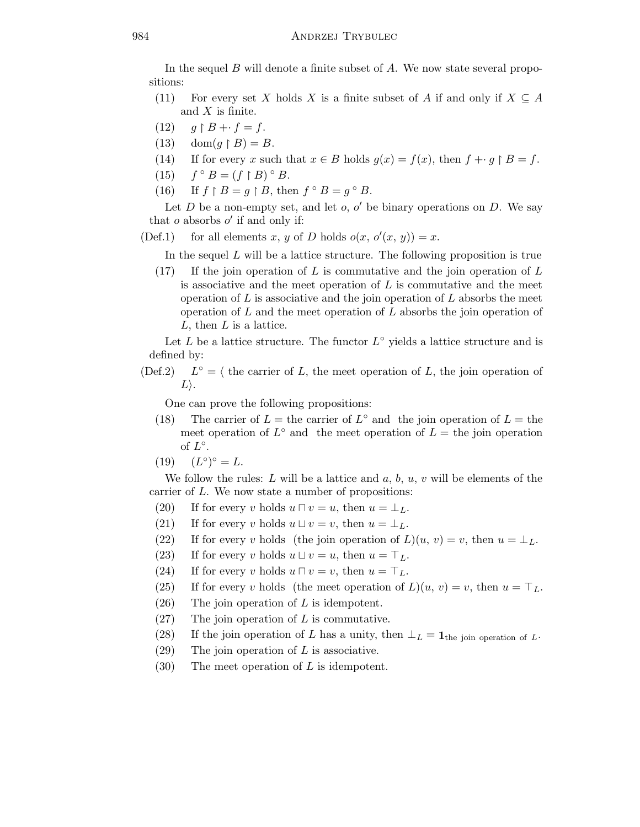In the sequel  $B$  will denote a finite subset of  $A$ . We now state several propositions:

- (11) For every set X holds X is a finite subset of A if and only if  $X \subseteq A$ and  $X$  is finite.
- $(12)$  $B + f = f$ .
- (13)  $\text{dom}(g \upharpoonright B) = B.$
- (14) If for every x such that  $x \in B$  holds  $g(x) = f(x)$ , then  $f + g \upharpoonright B = f$ .
- $(15)$  $\circ$  B =  $(f \upharpoonright B) \circ B$ .
- $(16)$  $B = g \restriction B$ , then  $f \circ B = g \circ B$ .

Let  $D$  be a non-empty set, and let  $o, o'$  be binary operations on  $D$ . We say that  $o$  absorbs  $o'$  if and only if:

(Def.1) for all elements x, y of D holds  $o(x, o'(x, y)) = x$ .

In the sequel  $L$  will be a lattice structure. The following proposition is true

 $(17)$  If the join operation of L is commutative and the join operation of L is associative and the meet operation of  $L$  is commutative and the meet operation of  $L$  is associative and the join operation of  $L$  absorbs the meet operation of  $L$  and the meet operation of  $L$  absorbs the join operation of  $L$ , then  $L$  is a lattice.

Let L be a lattice structure. The functor  $L^{\circ}$  yields a lattice structure and is defined by:

 $(Def.2)$  $L^{\circ} = \langle$  the carrier of L, the meet operation of L, the join operation of  $L$ .

One can prove the following propositions:

- (18) The carrier of  $L =$  the carrier of  $L^{\circ}$  and the join operation of  $L =$  the meet operation of  $L^{\circ}$  and the meet operation of  $L =$  the join operation of  $L^{\circ}$ .
- $(19)$  $\circ$ ) $\circ$  = L.

We follow the rules: L will be a lattice and  $a, b, u, v$  will be elements of the carrier of L. We now state a number of propositions:

- (20) If for every v holds  $u \sqcap v = u$ , then  $u = \perp_L$ .
- (21) If for every v holds  $u \sqcup v = v$ , then  $u = \perp_L$ .
- (22) If for every v holds (the join operation of  $L(u, v) = v$ , then  $u = \perp_L$ .
- (23) If for every v holds  $u \sqcup v = u$ , then  $u = \top_L$ .
- (24) If for every v holds  $u \sqcap v = v$ , then  $u = \top_L$ .
- (25) If for every v holds (the meet operation of  $L(u, v) = v$ , then  $u = \top_L$ .
- $(26)$  The join operation of L is idempotent.
- $(27)$  The join operation of L is commutative.
- (28) If the join operation of L has a unity, then  $\perp_L = \mathbf{1}_{\text{the join operation of } L}$ .
- $(29)$  The join operation of L is associative.
- $(30)$  The meet operation of L is idempotent.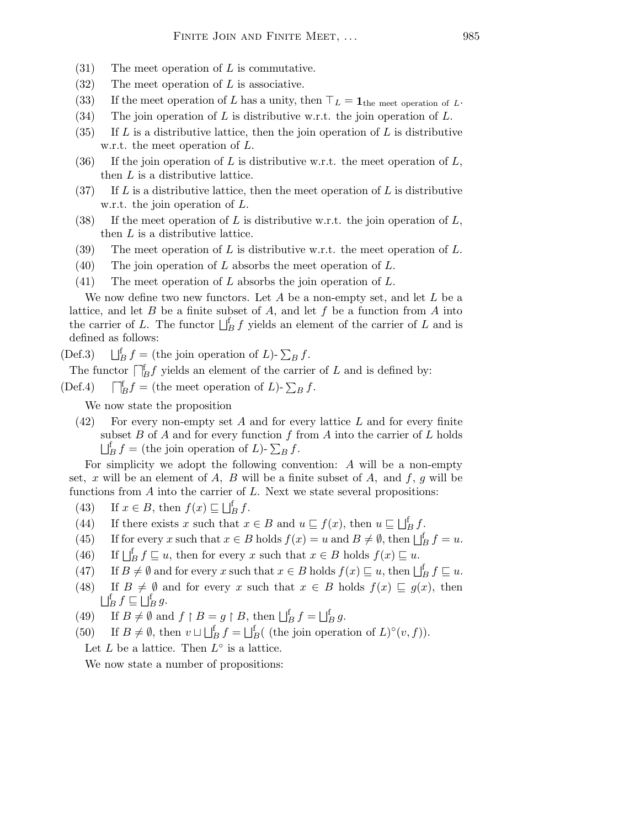- $(31)$  The meet operation of L is commutative.
- (32) The meet operation of L is associative.
- (33) If the meet operation of L has a unity, then  $\top_L = \mathbf{1}_{\text{the meet operation of } L}$ .
- (34) The join operation of L is distributive w.r.t. the join operation of L.
- (35) If L is a distributive lattice, then the join operation of L is distributive w.r.t. the meet operation of L.
- (36) If the join operation of L is distributive w.r.t. the meet operation of  $L$ , then L is a distributive lattice.
- (37) If L is a distributive lattice, then the meet operation of L is distributive w.r.t. the join operation of L.
- (38) If the meet operation of L is distributive w.r.t. the join operation of  $L$ , then L is a distributive lattice.
- (39) The meet operation of L is distributive w.r.t. the meet operation of L.
- $(40)$  The join operation of L absorbs the meet operation of L.
- (41) The meet operation of  $L$  absorbs the join operation of  $L$ .

We now define two new functors. Let  $A$  be a non-empty set, and let  $L$  be a lattice, and let B be a finite subset of A, and let f be a function from A into the carrier of L. The functor  $\bigsqcup_{B}^{f} f$  yields an element of the carrier of L and is defined as follows:

 $(Def.3)$  $E_B^{\text{t}} f =$  (the join operation of L)-  $\sum_B f$ .

The functor  $\iint_B f$  yields an element of the carrier of L and is defined by:

 $(Def.4)$  $\Box_B^{\text{f}} f =$  (the meet operation of L)-  $\sum_B f$ .

We now state the proposition

 $(42)$  For every non-empty set A and for every lattice L and for every finite subset  $B$  of  $A$  and for every function  $f$  from  $A$  into the carrier of  $L$  holds  $\bigsqcup_{B}^{f} f =$  (the join operation of L)-  $\sum_{B} f$ .

For simplicity we adopt the following convention: A will be a non-empty set, x will be an element of A, B will be a finite subset of A, and  $f, g$  will be functions from  $A$  into the carrier of  $L$ . Next we state several propositions:

- (43) If  $x \in B$ , then  $f(x) \sqsubseteq \bigsqcup_{B}^{f} f$ .
- (44) If there exists x such that  $x \in B$  and  $u \sqsubseteq f(x)$ , then  $u \sqsubseteq \bigsqcup_{B}^{f} f$ .
- (45) If for every x such that  $x \in B$  holds  $f(x) = u$  and  $B \neq \emptyset$ , then  $\bigsqcup_{B}^{f} f = u$ .
- (46) If  $\bigsqcup_{B}^{f} f \sqsubseteq u$ , then for every x such that  $x \in B$  holds  $f(x) \sqsubseteq u$ .
- (47) If  $B \neq \emptyset$  and for every x such that  $x \in B$  holds  $f(x) \sqsubseteq u$ , then  $\bigsqcup_{B}^{f} f \sqsubseteq u$ .
- (48) If  $B \neq \emptyset$  and for every x such that  $x \in B$  holds  $f(x) \sqsubseteq g(x)$ , then  $\bigsqcup_{B}^{\mathrm{f}}f\sqsubseteq\bigsqcup_{B}^{\mathrm{f}}g.$
- (49) If  $B \neq \emptyset$  and  $f \upharpoonright B = g \upharpoonright B$ , then  $\bigsqcup_{B}^{f} f = \bigsqcup_{B}^{f} g$ .
- (50) If  $B \neq \emptyset$ , then  $v \sqcup \bigsqcup_{B}^{f} f = \bigsqcup_{B}^{f} ($  (the join operation of  $L)^{\circ}(v, f)$ ).
- Let  $L$  be a lattice. Then  $L^{\circ}$  is a lattice.

We now state a number of propositions: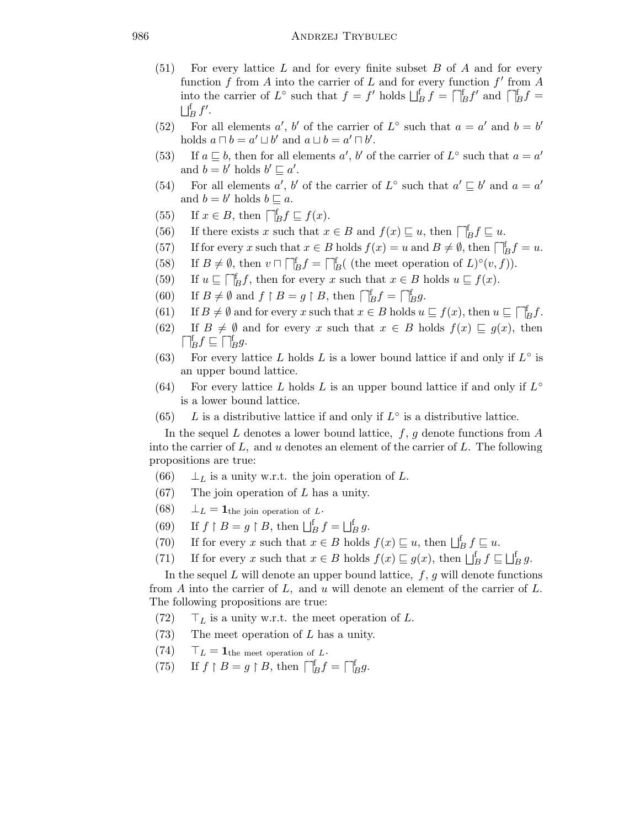- $(51)$  For every lattice L and for every finite subset B of A and for every function  $f$  from  $A$  into the carrier of  $L$  and for every function  $f'$  from  $A$ into the carrier of L<sup>°</sup> such that  $f = f'$  holds  $\bigsqcup_{B}^{f} f = \bigsqcup_{B}^{f} f'$  and  $\bigsqcup_{B}^{f} f =$  $\bigsqcup_{B}^{\text{f}}f'.$
- (52) For all elements a', b' of the carrier of  $L^{\circ}$  such that  $a = a'$  and  $b = b'$ holds  $a \sqcap b = a' \sqcup b'$  and  $a \sqcup b = a' \sqcap b'$ .
- (53) If  $a \sqsubseteq b$ , then for all elements  $a'$ ,  $b'$  of the carrier of  $L^{\circ}$  such that  $a = a'$ and  $\overline{b} = \overline{b'}$  holds  $\overline{b'} \sqsubseteq \overline{a'}$ .
- (54) For all elements a', b' of the carrier of  $L^{\circ}$  such that  $a' \sqsubseteq b'$  and  $a = a'$ and  $b = b'$  holds  $b \sqsubseteq a$ .
- (55) If  $x \in B$ , then  $\bigcap_{B}^{f} f \sqsubseteq f(x)$ .
- (56) If there exists x such that  $x \in B$  and  $f(x) \sqsubseteq u$ , then  $\bigcap_{B}^{f} f \sqsubseteq u$ .
- (57) If for every x such that  $x \in B$  holds  $f(x) = u$  and  $B \neq \emptyset$ , then  $\bigcap_{B}^{f} f = u$ .
- (58) If  $B \neq \emptyset$ , then  $v \sqcap \bigcap_{B}^{f} f = \bigcap_{B}^{f} ($  (the meet operation of  $L)^{\circ}(v, f)$ ).
- (59) If  $u \subseteq \bigcap_{B}^{e} f$ , then for every x such that  $x \in B$  holds  $u \subseteq f(x)$ .
- (60) If  $B \neq \emptyset$  and  $f \upharpoonright B = g \upharpoonright B$ , then  $\bigcap_{B}^{f} f = \bigcap_{B}^{f} g$ .
- (61) If  $B \neq \emptyset$  and for every x such that  $x \in B$  holds  $u \sqsubseteq f(x)$ , then  $u \sqsubseteq \bigcap_{B}^{f} f$ .
- (62) If  $B \neq \emptyset$  and for every x such that  $x \in B$  holds  $f(x) \sqsubseteq g(x)$ , then  $\begin{array}{c}\n\prod_{B}^{K} f \subseteq \bigcap_{B}^{K} g.\n\end{array}$
- (63) For every lattice L holds L is a lower bound lattice if and only if  $L^{\circ}$  is an upper bound lattice.
- (64) For every lattice L holds L is an upper bound lattice if and only if  $L^{\circ}$ is a lower bound lattice.
- (65) L is a distributive lattice if and only if  $L^{\circ}$  is a distributive lattice.

In the sequel L denotes a lower bound lattice,  $f, g$  denote functions from A into the carrier of  $L$ , and  $u$  denotes an element of the carrier of  $L$ . The following propositions are true:

- (66)  $\perp_L$  is a unity w.r.t. the join operation of L.
- $(67)$  The join operation of L has a unity.
- (68)  $\perp_L = \mathbf{1}_{\text{the join operation of } L}.$
- (69) If  $f \upharpoonright B = g \upharpoonright B$ , then  $\bigsqcup_{B}^{f} f = \bigsqcup_{B}^{f} g$ .
- (70) If for every x such that  $x \in B$  holds  $f(x) \sqsubseteq u$ , then  $\bigsqcup_{B}^{f} f \sqsubseteq u$ .
- (71) If for every x such that  $x \in B$  holds  $f(x) \sqsubseteq g(x)$ , then  $\bigsqcup_{B}^{f} f \sqsubseteq \bigsqcup_{B}^{f} g$ .

In the sequel  $L$  will denote an upper bound lattice,  $f, g$  will denote functions from A into the carrier of  $L$ , and  $u$  will denote an element of the carrier of  $L$ . The following propositions are true:

- (72)  $\top_L$  is a unity w.r.t. the meet operation of L.
- (73) The meet operation of L has a unity.
- $(74)$   $\top_L = 1$ the meet operation of L.
- $(75)$  $B = g \upharpoonright B$ , then  $\Box_B^{\text{f}} f = \Box_B^{\text{f}} g$ .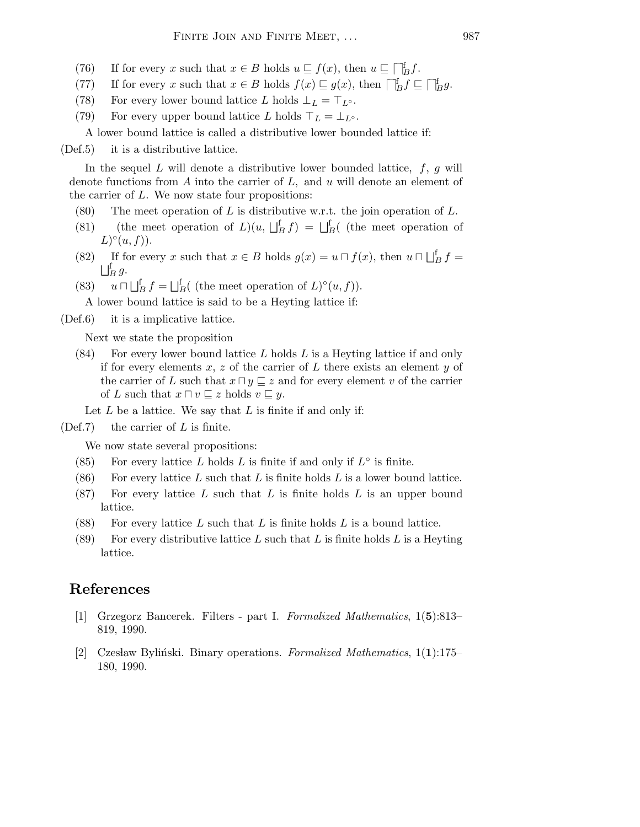- (76) If for every x such that  $x \in B$  holds  $u \sqsubseteq f(x)$ , then  $u \sqsubseteq \bigcap_{B}^{f} f$ .
- (77) If for every x such that  $x \in B$  holds  $f(x) \sqsubseteq g(x)$ , then  $\Box_B^{\sharp} f \sqsubseteq \Box_B^{\sharp} g$ .
- (78) For every lower bound lattice L holds  $\bot_L = \top_{L^\circ}$ .
- (79) For every upper bound lattice L holds  $\top_L = \bot_{L^{\circ}}$ .

A lower bound lattice is called a distributive lower bounded lattice if:

(Def.5) it is a distributive lattice.

In the sequel L will denote a distributive lower bounded lattice,  $f, g$  will denote functions from A into the carrier of  $L$ , and  $u$  will denote an element of the carrier of L. We now state four propositions:

- (80) The meet operation of L is distributive w.r.t. the join operation of L.
- (81) (the meet operation of  $L(u, \Box_B^f f) = \Box_B^f$  (the meet operation of  $L)^\circ(u,f)$ ).
- (82) If for every x such that  $x \in B$  holds  $g(x) = u \cap f(x)$ , then  $u \cap \bigsqcup_{B}^{f} f =$  $\bigsqcup_{B}^{\text{f}} g.$
- $(83)$  $\bigcup_{B}^{f} f = \bigcup_{B}^{f} ($  (the meet operation of  $L)^{\circ}(u, f)$ ).

A lower bound lattice is said to be a Heyting lattice if:

(Def.6) it is a implicative lattice.

Next we state the proposition

 $(84)$  For every lower bound lattice L holds L is a Heyting lattice if and only if for every elements  $x, z$  of the carrier of  $L$  there exists an element  $y$  of the carrier of L such that  $x \sqcap y \sqsubseteq z$  and for every element v of the carrier of L such that  $x \sqcap v \sqsubseteq z$  holds  $v \sqsubseteq y$ .

Let  $L$  be a lattice. We say that  $L$  is finite if and only if:

 $(Def.7)$  the carrier of L is finite.

We now state several propositions:

- (85) For every lattice L holds L is finite if and only if  $L^{\circ}$  is finite.
- (86) For every lattice L such that L is finite holds L is a lower bound lattice.
- $(87)$  For every lattice L such that L is finite holds L is an upper bound lattice.
- (88) For every lattice L such that L is finite holds L is a bound lattice.
- (89) For every distributive lattice L such that L is finite holds L is a Heyting lattice.

## References

- [1] Grzegorz Bancerek. Filters part I. Formalized Mathematics, 1(5):813– 819, 1990.
- [2] Czesław Byliński. Binary operations. Formalized Mathematics,  $1(1):175-$ 180, 1990.